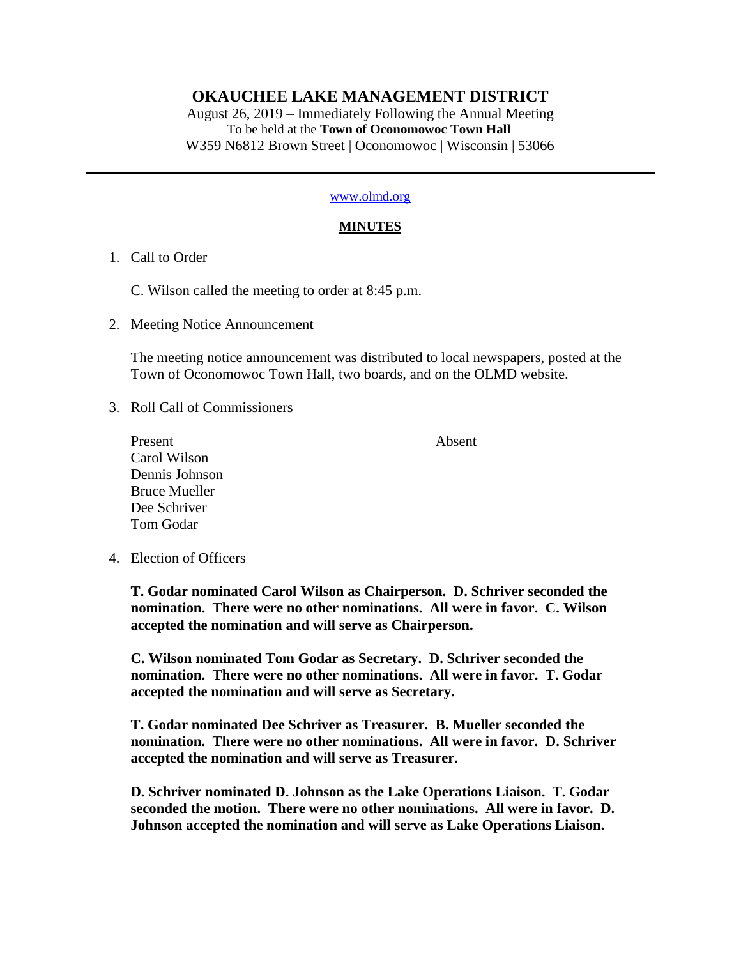# **OKAUCHEE LAKE MANAGEMENT DISTRICT**

August 26, 2019 – Immediately Following the Annual Meeting To be held at the **Town of Oconomowoc Town Hall** W359 N6812 Brown Street | Oconomowoc | Wisconsin | 53066

#### [www.olmd.org](http://www.olmd.org/)

### **MINUTES**

### 1. Call to Order

C. Wilson called the meeting to order at 8:45 p.m.

### 2. Meeting Notice Announcement

The meeting notice announcement was distributed to local newspapers, posted at the Town of Oconomowoc Town Hall, two boards, and on the OLMD website.

### 3. Roll Call of Commissioners

Present Absent Carol Wilson Dennis Johnson Bruce Mueller Dee Schriver Tom Godar

## 4. Election of Officers

**T. Godar nominated Carol Wilson as Chairperson. D. Schriver seconded the nomination. There were no other nominations. All were in favor. C. Wilson accepted the nomination and will serve as Chairperson.**

**C. Wilson nominated Tom Godar as Secretary. D. Schriver seconded the nomination. There were no other nominations. All were in favor. T. Godar accepted the nomination and will serve as Secretary.**

**T. Godar nominated Dee Schriver as Treasurer. B. Mueller seconded the nomination. There were no other nominations. All were in favor. D. Schriver accepted the nomination and will serve as Treasurer.**

**D. Schriver nominated D. Johnson as the Lake Operations Liaison. T. Godar seconded the motion. There were no other nominations. All were in favor. D. Johnson accepted the nomination and will serve as Lake Operations Liaison.**